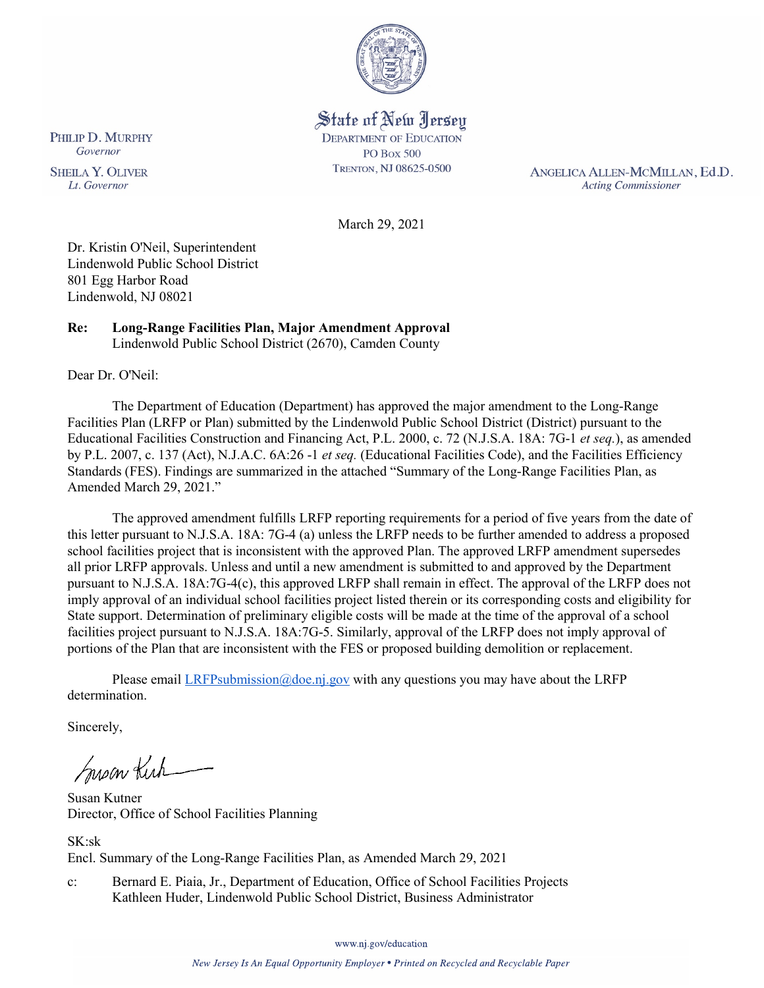

State of New Jersey **DEPARTMENT OF EDUCATION PO Box 500** TRENTON, NJ 08625-0500

ANGELICA ALLEN-MCMILLAN, Ed.D. **Acting Commissioner** 

March 29, 2021

Dr. Kristin O'Neil, Superintendent Lindenwold Public School District 801 Egg Harbor Road Lindenwold, NJ 08021

#### **Re: Long-Range Facilities Plan, Major Amendment Approval**  Lindenwold Public School District (2670), Camden County

Dear Dr. O'Neil:

The Department of Education (Department) has approved the major amendment to the Long-Range Facilities Plan (LRFP or Plan) submitted by the Lindenwold Public School District (District) pursuant to the Educational Facilities Construction and Financing Act, P.L. 2000, c. 72 (N.J.S.A. 18A: 7G-1 *et seq.*), as amended by P.L. 2007, c. 137 (Act), N.J.A.C. 6A:26 -1 *et seq.* (Educational Facilities Code), and the Facilities Efficiency Standards (FES). Findings are summarized in the attached "Summary of the Long-Range Facilities Plan, as Amended March 29, 2021."

The approved amendment fulfills LRFP reporting requirements for a period of five years from the date of this letter pursuant to N.J.S.A. 18A: 7G-4 (a) unless the LRFP needs to be further amended to address a proposed school facilities project that is inconsistent with the approved Plan. The approved LRFP amendment supersedes all prior LRFP approvals. Unless and until a new amendment is submitted to and approved by the Department pursuant to N.J.S.A. 18A:7G-4(c), this approved LRFP shall remain in effect. The approval of the LRFP does not imply approval of an individual school facilities project listed therein or its corresponding costs and eligibility for State support. Determination of preliminary eligible costs will be made at the time of the approval of a school facilities project pursuant to N.J.S.A. 18A:7G-5. Similarly, approval of the LRFP does not imply approval of portions of the Plan that are inconsistent with the FES or proposed building demolition or replacement.

Please email  $LRFP submission@doe.nj.gov$  with any questions you may have about the LRFP determination.

Sincerely,

Susan Kich

Susan Kutner Director, Office of School Facilities Planning

SK:sk Encl. Summary of the Long-Range Facilities Plan, as Amended March 29, 2021

c: Bernard E. Piaia, Jr., Department of Education, Office of School Facilities Projects Kathleen Huder, Lindenwold Public School District, Business Administrator

PHILIP D. MURPHY Governor

**SHEILA Y. OLIVER** Lt. Governor

www.nj.gov/education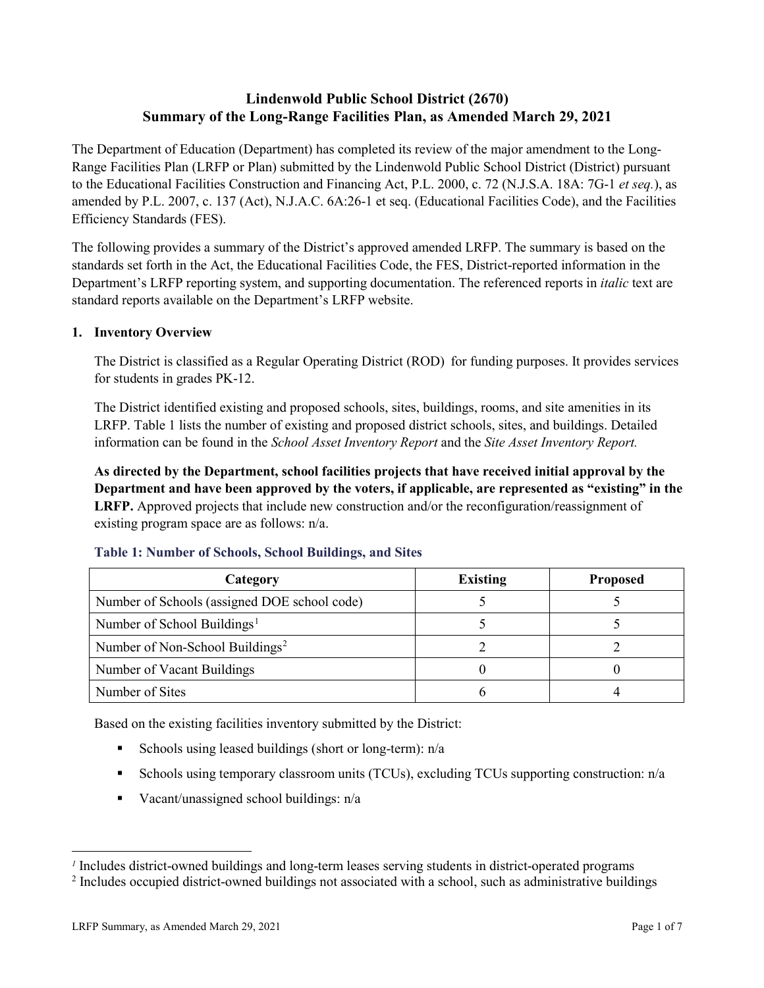# **Lindenwold Public School District (2670) Summary of the Long-Range Facilities Plan, as Amended March 29, 2021**

The Department of Education (Department) has completed its review of the major amendment to the Long-Range Facilities Plan (LRFP or Plan) submitted by the Lindenwold Public School District (District) pursuant to the Educational Facilities Construction and Financing Act, P.L. 2000, c. 72 (N.J.S.A. 18A: 7G-1 *et seq.*), as amended by P.L. 2007, c. 137 (Act), N.J.A.C. 6A:26-1 et seq. (Educational Facilities Code), and the Facilities Efficiency Standards (FES).

The following provides a summary of the District's approved amended LRFP. The summary is based on the standards set forth in the Act, the Educational Facilities Code, the FES, District-reported information in the Department's LRFP reporting system, and supporting documentation. The referenced reports in *italic* text are standard reports available on the Department's LRFP website.

### **1. Inventory Overview**

The District is classified as a Regular Operating District (ROD) for funding purposes. It provides services for students in grades PK-12.

The District identified existing and proposed schools, sites, buildings, rooms, and site amenities in its LRFP. Table 1 lists the number of existing and proposed district schools, sites, and buildings. Detailed information can be found in the *School Asset Inventory Report* and the *Site Asset Inventory Report.*

**As directed by the Department, school facilities projects that have received initial approval by the Department and have been approved by the voters, if applicable, are represented as "existing" in the LRFP.** Approved projects that include new construction and/or the reconfiguration/reassignment of existing program space are as follows: n/a.

| Category                                     | <b>Existing</b> | <b>Proposed</b> |
|----------------------------------------------|-----------------|-----------------|
| Number of Schools (assigned DOE school code) |                 |                 |
| Number of School Buildings <sup>1</sup>      |                 |                 |
| Number of Non-School Buildings <sup>2</sup>  |                 |                 |
| Number of Vacant Buildings                   |                 |                 |
| Number of Sites                              |                 |                 |

#### **Table 1: Number of Schools, School Buildings, and Sites**

Based on the existing facilities inventory submitted by the District:

- Schools using leased buildings (short or long-term):  $n/a$
- Schools using temporary classroom units (TCUs), excluding TCUs supporting construction: n/a
- Vacant/unassigned school buildings:  $n/a$

 $\overline{a}$ 

<span id="page-1-1"></span><span id="page-1-0"></span>*<sup>1</sup>* Includes district-owned buildings and long-term leases serving students in district-operated programs

<sup>&</sup>lt;sup>2</sup> Includes occupied district-owned buildings not associated with a school, such as administrative buildings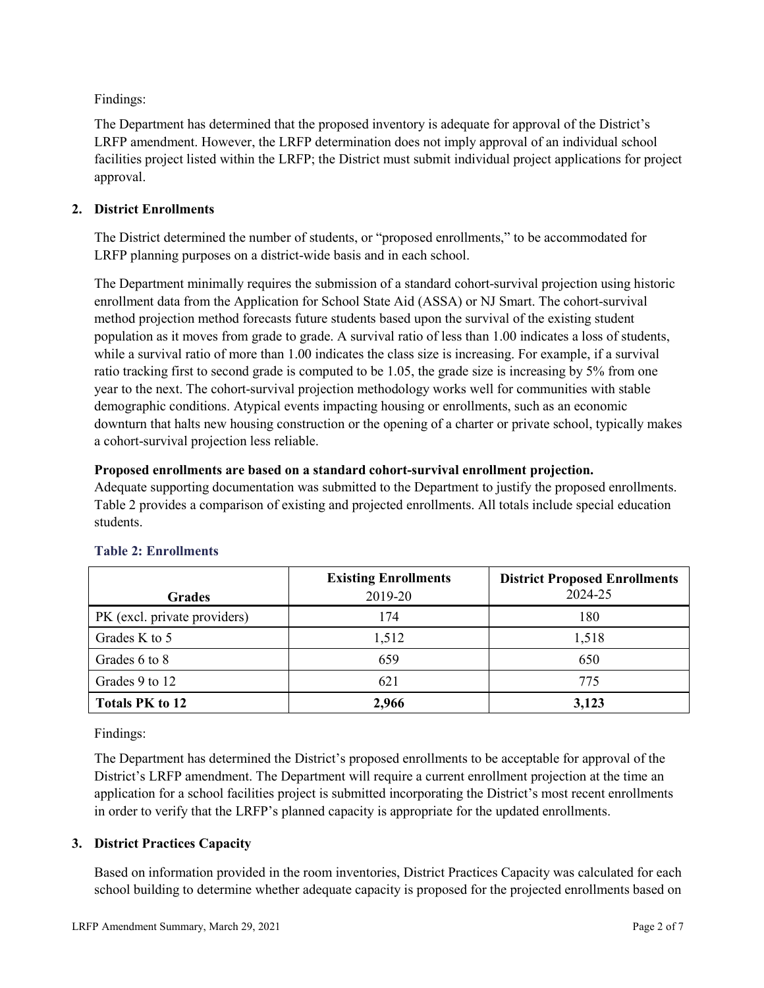Findings:

The Department has determined that the proposed inventory is adequate for approval of the District's LRFP amendment. However, the LRFP determination does not imply approval of an individual school facilities project listed within the LRFP; the District must submit individual project applications for project approval.

# **2. District Enrollments**

The District determined the number of students, or "proposed enrollments," to be accommodated for LRFP planning purposes on a district-wide basis and in each school.

The Department minimally requires the submission of a standard cohort-survival projection using historic enrollment data from the Application for School State Aid (ASSA) or NJ Smart. The cohort-survival method projection method forecasts future students based upon the survival of the existing student population as it moves from grade to grade. A survival ratio of less than 1.00 indicates a loss of students, while a survival ratio of more than 1.00 indicates the class size is increasing. For example, if a survival ratio tracking first to second grade is computed to be 1.05, the grade size is increasing by 5% from one year to the next. The cohort-survival projection methodology works well for communities with stable demographic conditions. Atypical events impacting housing or enrollments, such as an economic downturn that halts new housing construction or the opening of a charter or private school, typically makes a cohort-survival projection less reliable.

### **Proposed enrollments are based on a standard cohort-survival enrollment projection.**

Adequate supporting documentation was submitted to the Department to justify the proposed enrollments. Table 2 provides a comparison of existing and projected enrollments. All totals include special education students.

|                              | <b>Existing Enrollments</b> | <b>District Proposed Enrollments</b> |
|------------------------------|-----------------------------|--------------------------------------|
| <b>Grades</b>                | 2019-20                     | 2024-25                              |
| PK (excl. private providers) | 174                         | 180                                  |
| Grades K to 5                | 1,512                       | 1,518                                |
| Grades 6 to 8                | 659                         | 650                                  |
| Grades 9 to 12               | 621                         | 775                                  |
| <b>Totals PK to 12</b>       | 2,966                       | 3,123                                |

# **Table 2: Enrollments**

Findings:

The Department has determined the District's proposed enrollments to be acceptable for approval of the District's LRFP amendment. The Department will require a current enrollment projection at the time an application for a school facilities project is submitted incorporating the District's most recent enrollments in order to verify that the LRFP's planned capacity is appropriate for the updated enrollments.

# **3. District Practices Capacity**

Based on information provided in the room inventories, District Practices Capacity was calculated for each school building to determine whether adequate capacity is proposed for the projected enrollments based on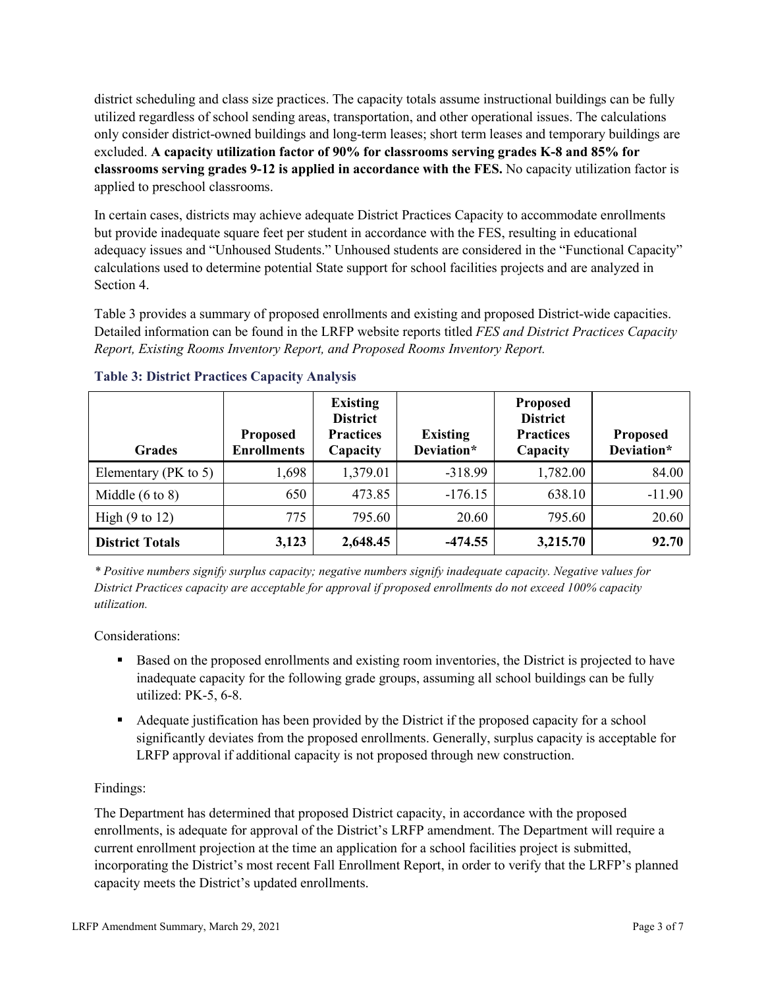district scheduling and class size practices. The capacity totals assume instructional buildings can be fully utilized regardless of school sending areas, transportation, and other operational issues. The calculations only consider district-owned buildings and long-term leases; short term leases and temporary buildings are excluded. **A capacity utilization factor of 90% for classrooms serving grades K-8 and 85% for classrooms serving grades 9-12 is applied in accordance with the FES.** No capacity utilization factor is applied to preschool classrooms.

In certain cases, districts may achieve adequate District Practices Capacity to accommodate enrollments but provide inadequate square feet per student in accordance with the FES, resulting in educational adequacy issues and "Unhoused Students." Unhoused students are considered in the "Functional Capacity" calculations used to determine potential State support for school facilities projects and are analyzed in Section 4.

Table 3 provides a summary of proposed enrollments and existing and proposed District-wide capacities. Detailed information can be found in the LRFP website reports titled *FES and District Practices Capacity Report, Existing Rooms Inventory Report, and Proposed Rooms Inventory Report.*

| <b>Grades</b>              | <b>Proposed</b><br><b>Enrollments</b> | <b>Existing</b><br><b>District</b><br><b>Practices</b><br>Capacity | <b>Existing</b><br>Deviation* | <b>Proposed</b><br><b>District</b><br><b>Practices</b><br>Capacity | <b>Proposed</b><br>Deviation* |
|----------------------------|---------------------------------------|--------------------------------------------------------------------|-------------------------------|--------------------------------------------------------------------|-------------------------------|
| Elementary ( $PK$ to 5)    | 1,698                                 | 1,379.01                                                           | $-318.99$                     | 1,782.00                                                           | 84.00                         |
| Middle $(6 \text{ to } 8)$ | 650                                   | 473.85                                                             | $-176.15$                     | 638.10                                                             | $-11.90$                      |
| High $(9 \text{ to } 12)$  | 775                                   | 795.60                                                             | 20.60                         | 795.60                                                             | 20.60                         |
| <b>District Totals</b>     | 3,123                                 | 2,648.45                                                           | $-474.55$                     | 3,215.70                                                           | 92.70                         |

# **Table 3: District Practices Capacity Analysis**

*\* Positive numbers signify surplus capacity; negative numbers signify inadequate capacity. Negative values for District Practices capacity are acceptable for approval if proposed enrollments do not exceed 100% capacity utilization.*

Considerations:

- Based on the proposed enrollments and existing room inventories, the District is projected to have inadequate capacity for the following grade groups, assuming all school buildings can be fully utilized: PK-5, 6-8.
- Adequate justification has been provided by the District if the proposed capacity for a school significantly deviates from the proposed enrollments. Generally, surplus capacity is acceptable for LRFP approval if additional capacity is not proposed through new construction.

# Findings:

The Department has determined that proposed District capacity, in accordance with the proposed enrollments, is adequate for approval of the District's LRFP amendment. The Department will require a current enrollment projection at the time an application for a school facilities project is submitted, incorporating the District's most recent Fall Enrollment Report, in order to verify that the LRFP's planned capacity meets the District's updated enrollments.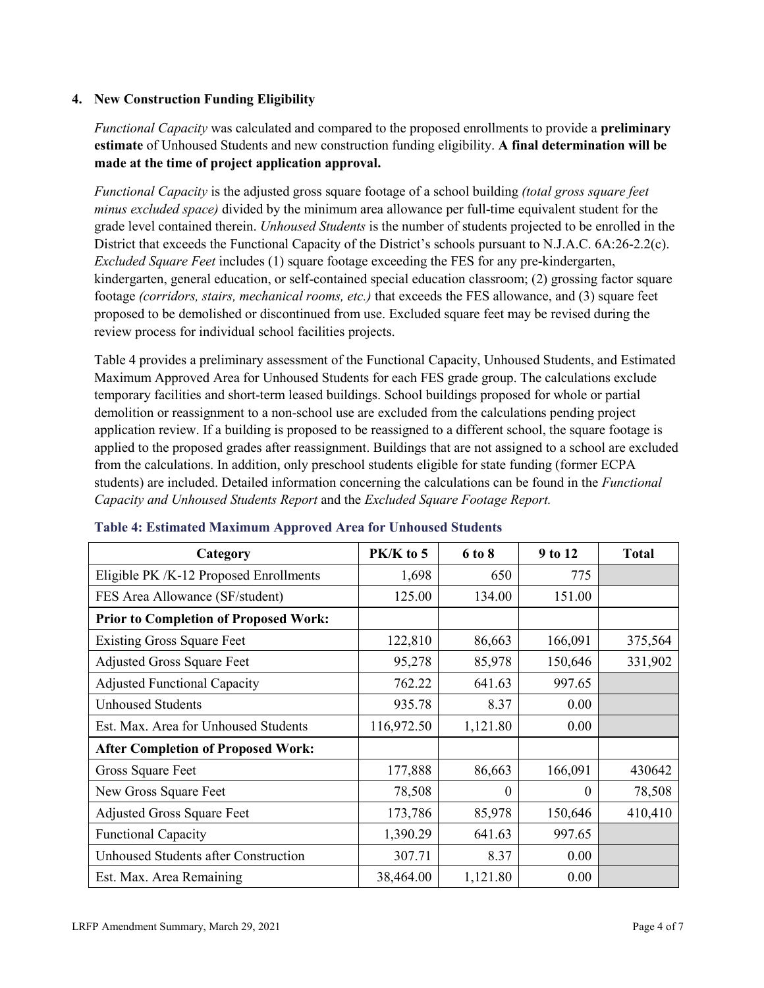### **4. New Construction Funding Eligibility**

*Functional Capacity* was calculated and compared to the proposed enrollments to provide a **preliminary estimate** of Unhoused Students and new construction funding eligibility. **A final determination will be made at the time of project application approval.**

*Functional Capacity* is the adjusted gross square footage of a school building *(total gross square feet minus excluded space)* divided by the minimum area allowance per full-time equivalent student for the grade level contained therein. *Unhoused Students* is the number of students projected to be enrolled in the District that exceeds the Functional Capacity of the District's schools pursuant to N.J.A.C. 6A:26-2.2(c). *Excluded Square Feet* includes (1) square footage exceeding the FES for any pre-kindergarten, kindergarten, general education, or self-contained special education classroom; (2) grossing factor square footage *(corridors, stairs, mechanical rooms, etc.)* that exceeds the FES allowance, and (3) square feet proposed to be demolished or discontinued from use. Excluded square feet may be revised during the review process for individual school facilities projects.

Table 4 provides a preliminary assessment of the Functional Capacity, Unhoused Students, and Estimated Maximum Approved Area for Unhoused Students for each FES grade group. The calculations exclude temporary facilities and short-term leased buildings. School buildings proposed for whole or partial demolition or reassignment to a non-school use are excluded from the calculations pending project application review. If a building is proposed to be reassigned to a different school, the square footage is applied to the proposed grades after reassignment. Buildings that are not assigned to a school are excluded from the calculations. In addition, only preschool students eligible for state funding (former ECPA students) are included. Detailed information concerning the calculations can be found in the *Functional Capacity and Unhoused Students Report* and the *Excluded Square Footage Report.*

| Category                                     | PK/K to 5  | 6 to 8   | 9 to 12  | <b>Total</b> |
|----------------------------------------------|------------|----------|----------|--------------|
| Eligible PK /K-12 Proposed Enrollments       | 1,698      | 650      | 775      |              |
| FES Area Allowance (SF/student)              | 125.00     | 134.00   | 151.00   |              |
| <b>Prior to Completion of Proposed Work:</b> |            |          |          |              |
| <b>Existing Gross Square Feet</b>            | 122,810    | 86,663   | 166,091  | 375,564      |
| <b>Adjusted Gross Square Feet</b>            | 95,278     | 85,978   | 150,646  | 331,902      |
| <b>Adjusted Functional Capacity</b>          | 762.22     | 641.63   | 997.65   |              |
| <b>Unhoused Students</b>                     | 935.78     | 8.37     | 0.00     |              |
| Est. Max. Area for Unhoused Students         | 116,972.50 | 1,121.80 | 0.00     |              |
| <b>After Completion of Proposed Work:</b>    |            |          |          |              |
| Gross Square Feet                            | 177,888    | 86,663   | 166,091  | 430642       |
| New Gross Square Feet                        | 78,508     | $\theta$ | $\Omega$ | 78,508       |
| <b>Adjusted Gross Square Feet</b>            | 173,786    | 85,978   | 150,646  | 410,410      |
| <b>Functional Capacity</b>                   | 1,390.29   | 641.63   | 997.65   |              |
| Unhoused Students after Construction         | 307.71     | 8.37     | 0.00     |              |
| Est. Max. Area Remaining                     | 38,464.00  | 1,121.80 | 0.00     |              |

#### **Table 4: Estimated Maximum Approved Area for Unhoused Students**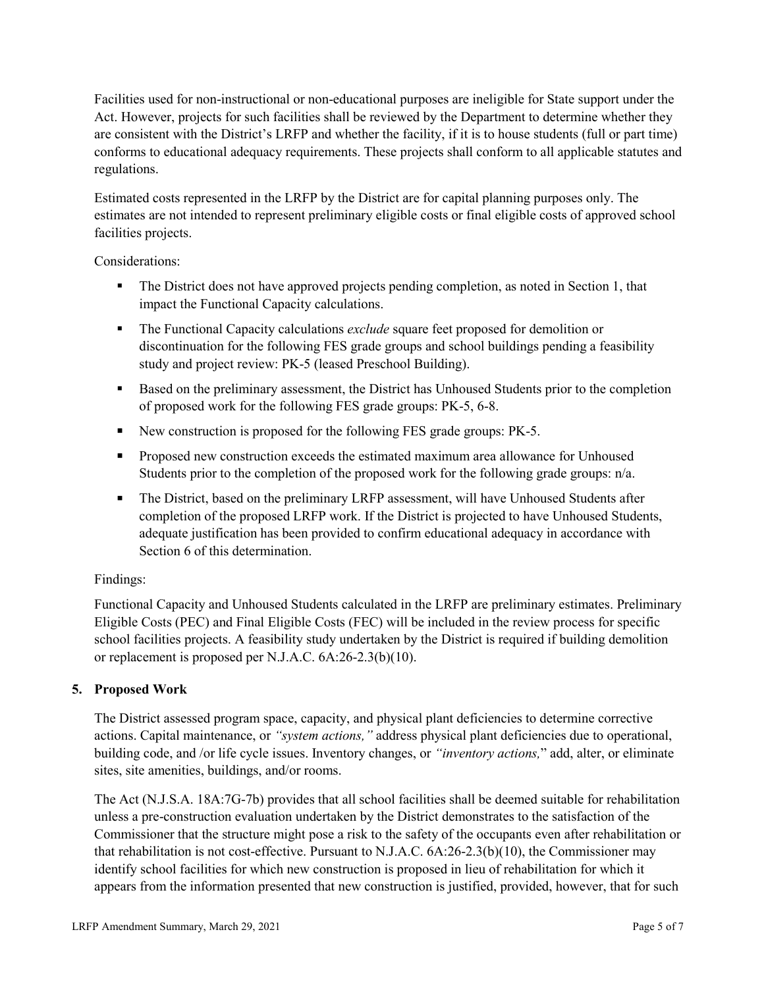Facilities used for non-instructional or non-educational purposes are ineligible for State support under the Act. However, projects for such facilities shall be reviewed by the Department to determine whether they are consistent with the District's LRFP and whether the facility, if it is to house students (full or part time) conforms to educational adequacy requirements. These projects shall conform to all applicable statutes and regulations.

Estimated costs represented in the LRFP by the District are for capital planning purposes only. The estimates are not intended to represent preliminary eligible costs or final eligible costs of approved school facilities projects.

Considerations:

- The District does not have approved projects pending completion, as noted in Section 1, that impact the Functional Capacity calculations.
- **The Functional Capacity calculations** *exclude* square feet proposed for demolition or discontinuation for the following FES grade groups and school buildings pending a feasibility study and project review: PK-5 (leased Preschool Building).
- Based on the preliminary assessment, the District has Unhoused Students prior to the completion of proposed work for the following FES grade groups: PK-5, 6-8.
- New construction is proposed for the following FES grade groups: PK-5.
- Proposed new construction exceeds the estimated maximum area allowance for Unhoused Students prior to the completion of the proposed work for the following grade groups: n/a.
- The District, based on the preliminary LRFP assessment, will have Unhoused Students after completion of the proposed LRFP work. If the District is projected to have Unhoused Students, adequate justification has been provided to confirm educational adequacy in accordance with Section 6 of this determination.

# Findings:

Functional Capacity and Unhoused Students calculated in the LRFP are preliminary estimates. Preliminary Eligible Costs (PEC) and Final Eligible Costs (FEC) will be included in the review process for specific school facilities projects. A feasibility study undertaken by the District is required if building demolition or replacement is proposed per N.J.A.C. 6A:26-2.3(b)(10).

# **5. Proposed Work**

The District assessed program space, capacity, and physical plant deficiencies to determine corrective actions. Capital maintenance, or *"system actions,"* address physical plant deficiencies due to operational, building code, and /or life cycle issues. Inventory changes, or *"inventory actions,*" add, alter, or eliminate sites, site amenities, buildings, and/or rooms.

The Act (N.J.S.A. 18A:7G-7b) provides that all school facilities shall be deemed suitable for rehabilitation unless a pre-construction evaluation undertaken by the District demonstrates to the satisfaction of the Commissioner that the structure might pose a risk to the safety of the occupants even after rehabilitation or that rehabilitation is not cost-effective. Pursuant to N.J.A.C. 6A:26-2.3(b)(10), the Commissioner may identify school facilities for which new construction is proposed in lieu of rehabilitation for which it appears from the information presented that new construction is justified, provided, however, that for such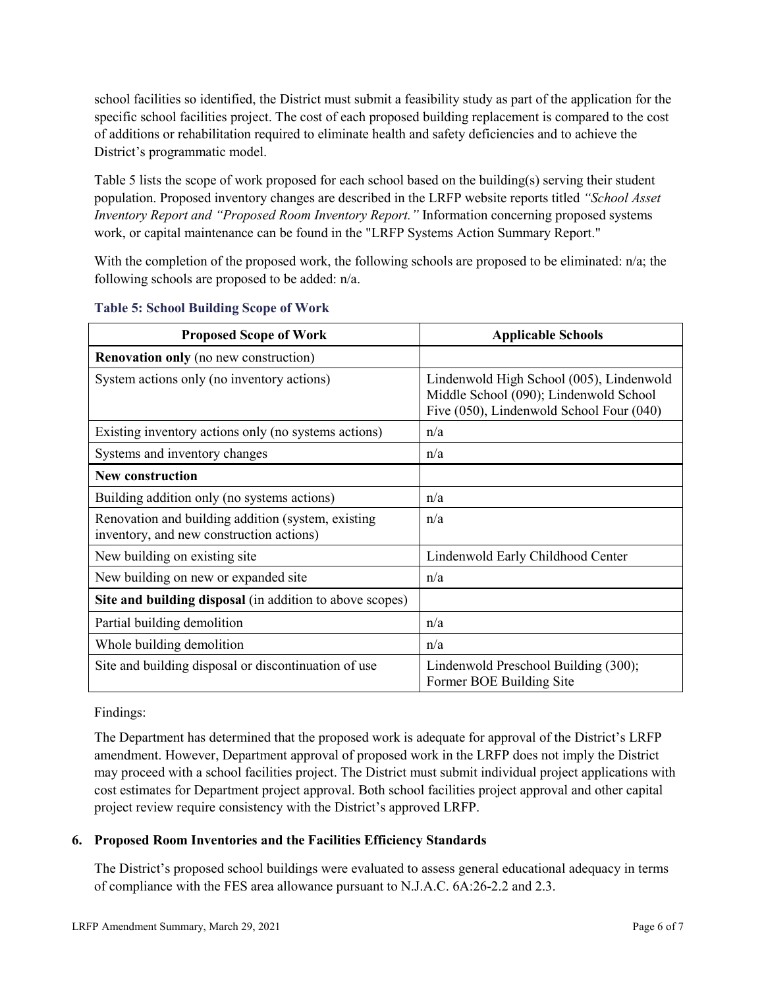school facilities so identified, the District must submit a feasibility study as part of the application for the specific school facilities project. The cost of each proposed building replacement is compared to the cost of additions or rehabilitation required to eliminate health and safety deficiencies and to achieve the District's programmatic model.

Table 5 lists the scope of work proposed for each school based on the building(s) serving their student population. Proposed inventory changes are described in the LRFP website reports titled *"School Asset Inventory Report and "Proposed Room Inventory Report."* Information concerning proposed systems work, or capital maintenance can be found in the "LRFP Systems Action Summary Report."

With the completion of the proposed work, the following schools are proposed to be eliminated: n/a; the following schools are proposed to be added: n/a.

| <b>Proposed Scope of Work</b>                                                                  | <b>Applicable Schools</b>                                                                                                      |
|------------------------------------------------------------------------------------------------|--------------------------------------------------------------------------------------------------------------------------------|
| <b>Renovation only</b> (no new construction)                                                   |                                                                                                                                |
| System actions only (no inventory actions)                                                     | Lindenwold High School (005), Lindenwold<br>Middle School (090); Lindenwold School<br>Five (050), Lindenwold School Four (040) |
| Existing inventory actions only (no systems actions)                                           | n/a                                                                                                                            |
| Systems and inventory changes                                                                  | n/a                                                                                                                            |
| <b>New construction</b>                                                                        |                                                                                                                                |
| Building addition only (no systems actions)                                                    | n/a                                                                                                                            |
| Renovation and building addition (system, existing<br>inventory, and new construction actions) | n/a                                                                                                                            |
| New building on existing site                                                                  | Lindenwold Early Childhood Center                                                                                              |
| New building on new or expanded site                                                           | n/a                                                                                                                            |
| Site and building disposal (in addition to above scopes)                                       |                                                                                                                                |
| Partial building demolition                                                                    | n/a                                                                                                                            |
| Whole building demolition                                                                      | n/a                                                                                                                            |
| Site and building disposal or discontinuation of use                                           | Lindenwold Preschool Building (300);<br>Former BOE Building Site                                                               |

### **Table 5: School Building Scope of Work**

#### Findings:

The Department has determined that the proposed work is adequate for approval of the District's LRFP amendment. However, Department approval of proposed work in the LRFP does not imply the District may proceed with a school facilities project. The District must submit individual project applications with cost estimates for Department project approval. Both school facilities project approval and other capital project review require consistency with the District's approved LRFP.

# **6. Proposed Room Inventories and the Facilities Efficiency Standards**

The District's proposed school buildings were evaluated to assess general educational adequacy in terms of compliance with the FES area allowance pursuant to N.J.A.C. 6A:26-2.2 and 2.3.